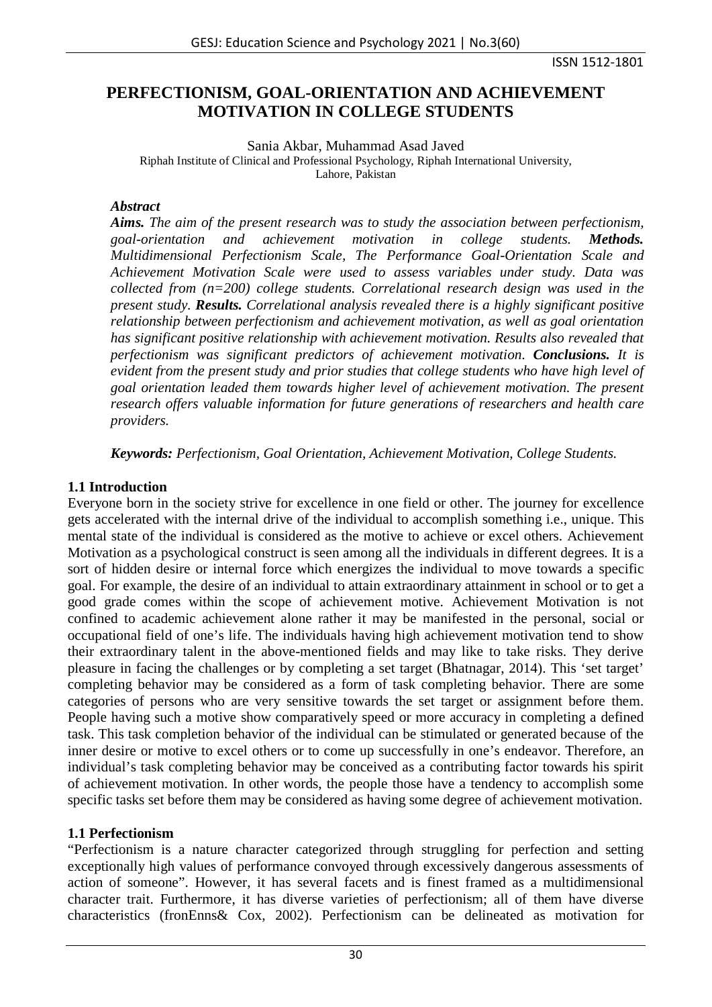ISSN 1512-1801

# **PERFECTIONISM, GOAL-ORIENTATION AND ACHIEVEMENT MOTIVATION IN COLLEGE STUDENTS**

Sania Akbar, Muhammad Asad Javed

Riphah Institute of Clinical and Professional Psychology, Riphah International University, Lahore, Pakistan

#### *Abstract*

*Aims. The aim of the present research was to study the association between perfectionism, goal-orientation and achievement motivation in college students. Methods. Multidimensional Perfectionism Scale, The Performance Goal-Orientation Scale and Achievement Motivation Scale were used to assess variables under study. Data was collected from (n=200) college students. Correlational research design was used in the present study. Results. Correlational analysis revealed there is a highly significant positive relationship between perfectionism and achievement motivation, as well as goal orientation has significant positive relationship with achievement motivation. Results also revealed that perfectionism was significant predictors of achievement motivation. Conclusions. It is evident from the present study and prior studies that college students who have high level of goal orientation leaded them towards higher level of achievement motivation. The present research offers valuable information for future generations of researchers and health care providers.*

*Keywords: Perfectionism, Goal Orientation, Achievement Motivation, College Students.*

# **1.1 Introduction**

Everyone born in the society strive for excellence in one field or other. The journey for excellence gets accelerated with the internal drive of the individual to accomplish something i.e., unique. This mental state of the individual is considered as the motive to achieve or excel others. Achievement Motivation as a psychological construct is seen among all the individuals in different degrees. It is a sort of hidden desire or internal force which energizes the individual to move towards a specific goal. For example, the desire of an individual to attain extraordinary attainment in school or to get a good grade comes within the scope of achievement motive. Achievement Motivation is not confined to academic achievement alone rather it may be manifested in the personal, social or occupational field of one's life. The individuals having high achievement motivation tend to show their extraordinary talent in the above-mentioned fields and may like to take risks. They derive pleasure in facing the challenges or by completing a set target (Bhatnagar, 2014). This 'set target' completing behavior may be considered as a form of task completing behavior. There are some categories of persons who are very sensitive towards the set target or assignment before them. People having such a motive show comparatively speed or more accuracy in completing a defined task. This task completion behavior of the individual can be stimulated or generated because of the inner desire or motive to excel others or to come up successfully in one's endeavor. Therefore, an individual's task completing behavior may be conceived as a contributing factor towards his spirit of achievement motivation. In other words, the people those have a tendency to accomplish some specific tasks set before them may be considered as having some degree of achievement motivation.

# **1.1 Perfectionism**

"Perfectionism is a nature character categorized through struggling for perfection and setting exceptionally high values of performance convoyed through excessively dangerous assessments of action of someone". However, it has several facets and is finest framed as a multidimensional character trait. Furthermore, it has diverse varieties of perfectionism; all of them have diverse characteristics (fronEnns& Cox, 2002). Perfectionism can be delineated as motivation for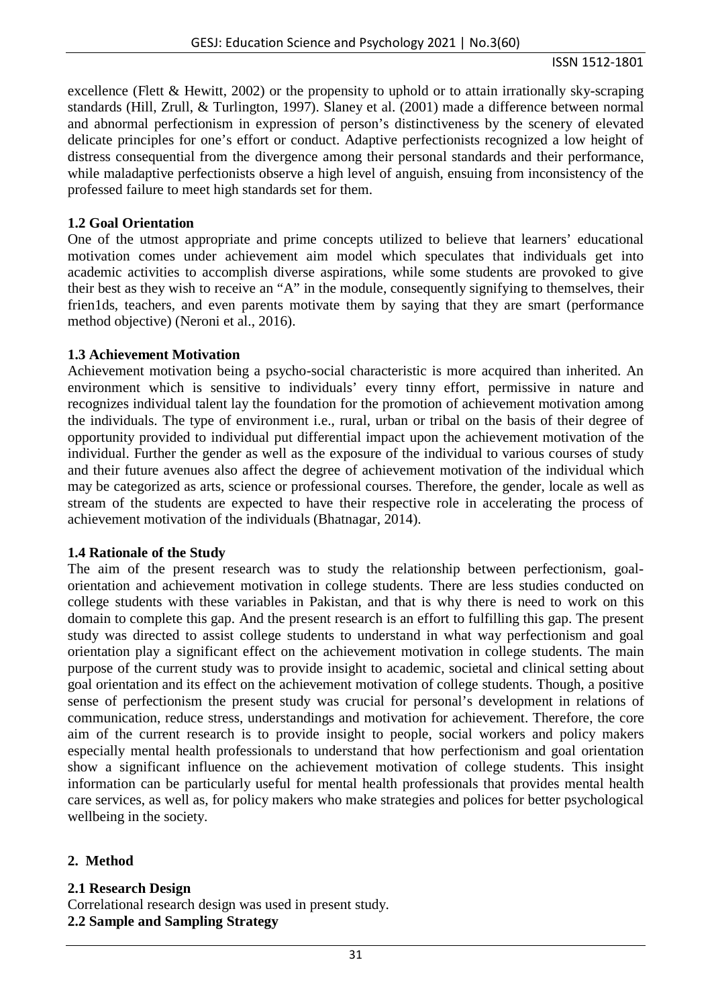#### ISSN 1512-1801

excellence (Flett & Hewitt, 2002) or the propensity to uphold or to attain irrationally sky-scraping standards (Hill, Zrull, & Turlington, 1997). Slaney et al. (2001) made a difference between normal and abnormal perfectionism in expression of person's distinctiveness by the scenery of elevated delicate principles for one's effort or conduct. Adaptive perfectionists recognized a low height of distress consequential from the divergence among their personal standards and their performance, while maladaptive perfectionists observe a high level of anguish, ensuing from inconsistency of the professed failure to meet high standards set for them.

#### **1.2 Goal Orientation**

One of the utmost appropriate and prime concepts utilized to believe that learners' educational motivation comes under achievement aim model which speculates that individuals get into academic activities to accomplish diverse aspirations, while some students are provoked to give their best as they wish to receive an "A" in the module, consequently signifying to themselves, their frien1ds, teachers, and even parents motivate them by saying that they are smart (performance method objective) (Neroni et al., 2016).

### **1.3 Achievement Motivation**

Achievement motivation being a psycho-social characteristic is more acquired than inherited. An environment which is sensitive to individuals' every tinny effort, permissive in nature and recognizes individual talent lay the foundation for the promotion of achievement motivation among the individuals. The type of environment i.e., rural, urban or tribal on the basis of their degree of opportunity provided to individual put differential impact upon the achievement motivation of the individual. Further the gender as well as the exposure of the individual to various courses of study and their future avenues also affect the degree of achievement motivation of the individual which may be categorized as arts, science or professional courses. Therefore, the gender, locale as well as stream of the students are expected to have their respective role in accelerating the process of achievement motivation of the individuals (Bhatnagar, 2014).

#### **1.4 Rationale of the Study**

The aim of the present research was to study the relationship between perfectionism, goalorientation and achievement motivation in college students. There are less studies conducted on college students with these variables in Pakistan, and that is why there is need to work on this domain to complete this gap. And the present research is an effort to fulfilling this gap. The present study was directed to assist college students to understand in what way perfectionism and goal orientation play a significant effect on the achievement motivation in college students. The main purpose of the current study was to provide insight to academic, societal and clinical setting about goal orientation and its effect on the achievement motivation of college students. Though, a positive sense of perfectionism the present study was crucial for personal's development in relations of communication, reduce stress, understandings and motivation for achievement. Therefore, the core aim of the current research is to provide insight to people, social workers and policy makers especially mental health professionals to understand that how perfectionism and goal orientation show a significant influence on the achievement motivation of college students. This insight information can be particularly useful for mental health professionals that provides mental health care services, as well as, for policy makers who make strategies and polices for better psychological wellbeing in the society.

# **2. Method**

# **2.1 Research Design**

Correlational research design was used in present study. **2.2 Sample and Sampling Strategy**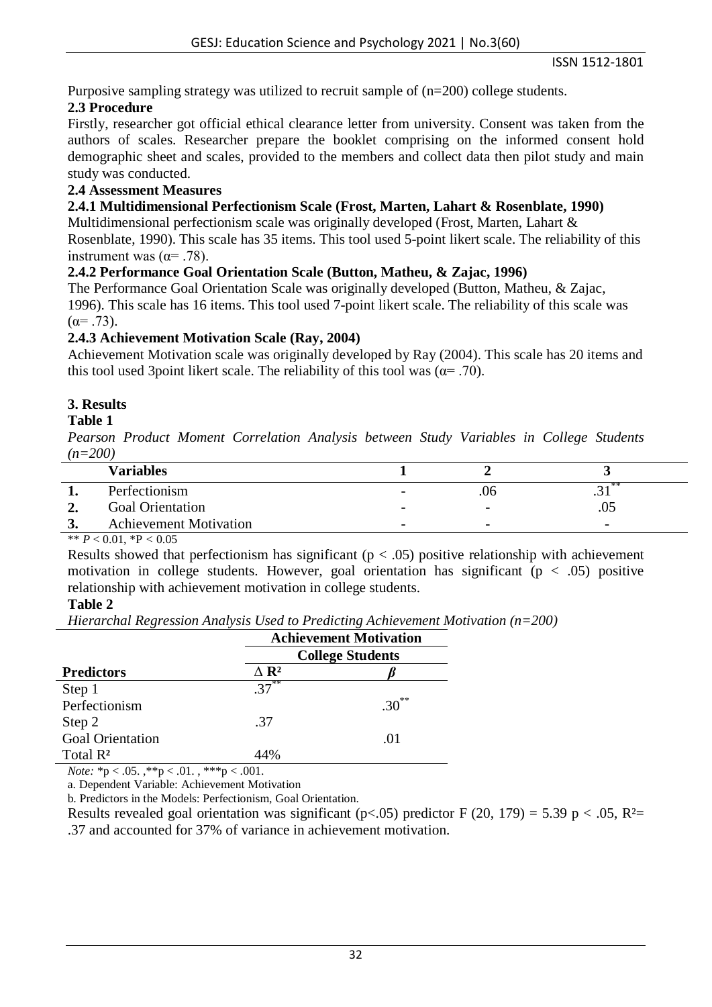Purposive sampling strategy was utilized to recruit sample of (n=200) college students.

# **2.3 Procedure**

Firstly, researcher got official ethical clearance letter from university. Consent was taken from the authors of scales. Researcher prepare the booklet comprising on the informed consent hold demographic sheet and scales, provided to the members and collect data then pilot study and main study was conducted.

# **2.4 Assessment Measures**

### **2.4.1 Multidimensional Perfectionism Scale (Frost, Marten, Lahart & Rosenblate, 1990)**

Multidimensional perfectionism scale was originally developed (Frost, Marten, Lahart & Rosenblate, 1990). This scale has 35 items. This tool used 5-point likert scale. The reliability of this instrument was ( $\alpha$ = .78).

# **2.4.2 Performance Goal Orientation Scale (Button, Matheu, & Zajac, 1996)**

The Performance Goal Orientation Scale was originally developed (Button, Matheu, & Zajac, 1996). This scale has 16 items. This tool used 7-point likert scale. The reliability of this scale was  $(α= .73)$ .

### **2.4.3 Achievement Motivation Scale (Ray, 2004)**

Achievement Motivation scale was originally developed by Ray (2004). This scale has 20 items and this tool used 3point likert scale. The reliability of this tool was ( $\alpha$ = .70).

# **3. Results**

### **Table 1**

*Pearson Product Moment Correlation Analysis between Study Variables in College Students (n=200)*

| <b>Variables</b>              |                          |                          |                          |
|-------------------------------|--------------------------|--------------------------|--------------------------|
| Perfectionism                 | $\overline{\phantom{0}}$ | .06                      | - 35<br>.J 1             |
| <b>Goal Orientation</b>       | $\overline{\phantom{a}}$ | $\overline{\phantom{a}}$ |                          |
| <b>Achievement Motivation</b> | $\overline{\phantom{0}}$ | $\overline{\phantom{0}}$ | $\overline{\phantom{0}}$ |

\*\*  $P < 0.01$ , \* $P < 0.05$ 

Results showed that perfectionism has significant ( $p < .05$ ) positive relationship with achievement motivation in college students. However, goal orientation has significant ( $p < .05$ ) positive relationship with achievement motivation in college students.

### **Table 2**

*Hierarchal Regression Analysis Used to Predicting Achievement Motivation (n=200)*

|                         | <b>Achievement Motivation</b><br><b>College Students</b> |            |  |
|-------------------------|----------------------------------------------------------|------------|--|
|                         |                                                          |            |  |
| <b>Predictors</b>       | $\Delta$ R <sup>2</sup>                                  |            |  |
| Step 1                  | $37^{**}$                                                |            |  |
| Perfectionism           |                                                          | $.30^{**}$ |  |
| Step 2                  | .37                                                      |            |  |
| <b>Goal Orientation</b> |                                                          | .01        |  |
| Total $\mathbb{R}^2$    | 44%                                                      |            |  |

*Note:*  ${}^*p < .05.$ ,  ${}^*p < .01.$ ,  ${}^{**p}p < .001.$ 

a. Dependent Variable: Achievement Motivation

b. Predictors in the Models: Perfectionism, Goal Orientation.

Results revealed goal orientation was significant (p<.05) predictor F (20, 179) = 5.39 p < .05, R<sup>2</sup>= .37 and accounted for 37% of variance in achievement motivation.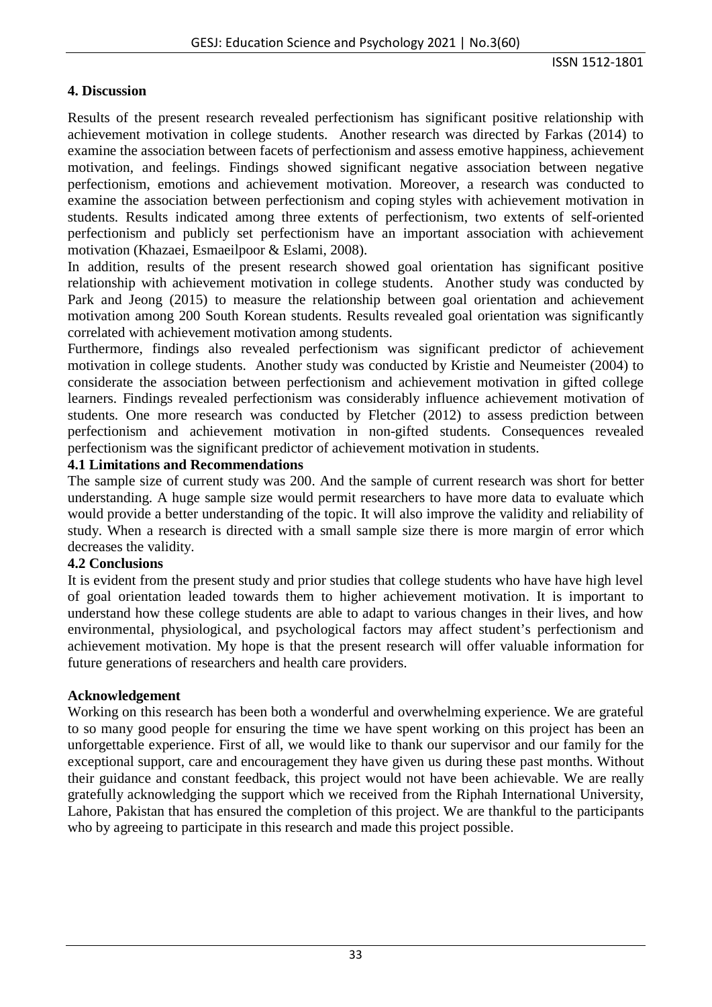### **4. Discussion**

Results of the present research revealed perfectionism has significant positive relationship with achievement motivation in college students. Another research was directed by Farkas (2014) to examine the association between facets of perfectionism and assess emotive happiness, achievement motivation, and feelings. Findings showed significant negative association between negative perfectionism, emotions and achievement motivation. Moreover, a research was conducted to examine the association between perfectionism and coping styles with achievement motivation in students. Results indicated among three extents of perfectionism, two extents of self-oriented perfectionism and publicly set perfectionism have an important association with achievement motivation (Khazaei, Esmaeilpoor & Eslami, 2008).

In addition, results of the present research showed goal orientation has significant positive relationship with achievement motivation in college students. Another study was conducted by Park and Jeong (2015) to measure the relationship between goal orientation and achievement motivation among 200 South Korean students. Results revealed goal orientation was significantly correlated with achievement motivation among students.

Furthermore, findings also revealed perfectionism was significant predictor of achievement motivation in college students. Another study was conducted by Kristie and Neumeister (2004) to considerate the association between perfectionism and achievement motivation in gifted college learners. Findings revealed perfectionism was considerably influence achievement motivation of students. One more research was conducted by Fletcher (2012) to assess prediction between perfectionism and achievement motivation in non-gifted students. Consequences revealed perfectionism was the significant predictor of achievement motivation in students.

### **4.1 Limitations and Recommendations**

The sample size of current study was 200. And the sample of current research was short for better understanding. A huge sample size would permit researchers to have more data to evaluate which would provide a better understanding of the topic. It will also improve the validity and reliability of study. When a research is directed with a small sample size there is more margin of error which decreases the validity.

#### **4.2 Conclusions**

It is evident from the present study and prior studies that college students who have have high level of goal orientation leaded towards them to higher achievement motivation. It is important to understand how these college students are able to adapt to various changes in their lives, and how environmental, physiological, and psychological factors may affect student's perfectionism and achievement motivation. My hope is that the present research will offer valuable information for future generations of researchers and health care providers.

#### **Acknowledgement**

Working on this research has been both a wonderful and overwhelming experience. We are grateful to so many good people for ensuring the time we have spent working on this project has been an unforgettable experience. First of all, we would like to thank our supervisor and our family for the exceptional support, care and encouragement they have given us during these past months. Without their guidance and constant feedback, this project would not have been achievable. We are really gratefully acknowledging the support which we received from the Riphah International University, Lahore, Pakistan that has ensured the completion of this project. We are thankful to the participants who by agreeing to participate in this research and made this project possible.